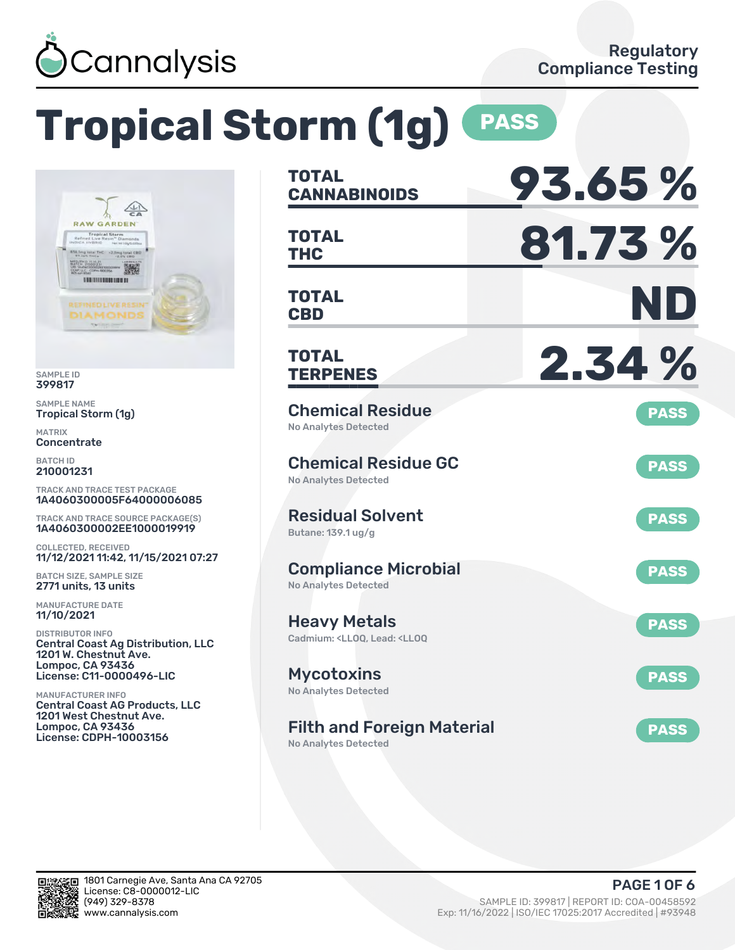

# **Tropical Storm (1g) PASS**



SAMPLE ID 399817

SAMPLE NAME Tropical Storm (1g)

MATRIX **Concentrate** 

BATCH ID 210001231

TRACK AND TRACE TEST PACKAGE 1A4060300005F64000006085

TRACK AND TRACE SOURCE PACKAGE(S) 1A4060300002EE1000019919

COLLECTED, RECEIVED 11/12/2021 11:42, 11/15/2021 07:27

BATCH SIZE, SAMPLE SIZE 2771 units, 13 units

MANUFACTURE DATE 11/10/2021

DISTRIBUTOR INFO Central Coast Ag Distribution, LLC 1201 W. Chestnut Ave. Lompoc, CA 93436 License: C11-0000496-LIC

MANUFACTURER INFO Central Coast AG Products, LLC 1201 West Chestnut Ave. Lompoc, CA 93436 License: CDPH-10003156

| <b>TOTAL</b><br><b>CANNABINOIDS</b>                                                          | 93.65%      |
|----------------------------------------------------------------------------------------------|-------------|
| <b>TOTAL</b><br><b>THC</b>                                                                   | 81.73%      |
| <b>TOTAL</b><br><b>CBD</b>                                                                   | ND          |
| <b>TOTAL</b><br><b>TERPENES</b>                                                              | 2.34 %      |
| <b>Chemical Residue</b><br><b>No Analytes Detected</b>                                       | <b>PASS</b> |
| <b>Chemical Residue GC</b><br><b>No Analytes Detected</b>                                    | <b>PASS</b> |
| <b>Residual Solvent</b><br>Butane: 139.1 ug/g                                                | <b>PASS</b> |
| <b>Compliance Microbial</b><br><b>No Analytes Detected</b>                                   | <b>PASS</b> |
| <b>Heavy Metals</b><br>Cadmium: <lloq, <lloq<="" lead:="" td=""><td><b>PASS</b></td></lloq,> | <b>PASS</b> |
| <b>Mycotoxins</b><br>No Analytes Detected                                                    | <b>PASS</b> |
| <b>Filth and Foreign Material</b><br><b>No Analytes Detected</b>                             | <b>PASS</b> |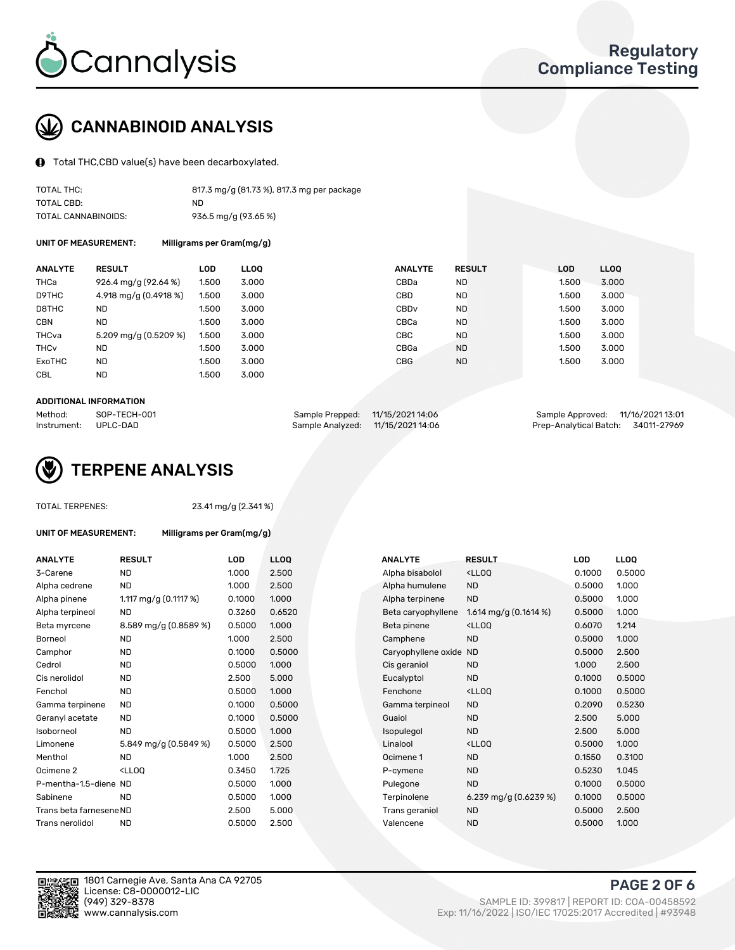

### CANNABINOID ANALYSIS

Total THC,CBD value(s) have been decarboxylated.

| TOTAL THC:          | 817.3 mg/g (81.73 %), 817.3 mg per package |
|---------------------|--------------------------------------------|
| TOTAL CBD:          | ND.                                        |
| TOTAL CANNABINOIDS: | 936.5 mg/g (93.65 %)                       |

UNIT OF MEASUREMENT: Milligrams per Gram(mg/g)

| <b>ANALYTE</b>         | <b>RESULT</b>         | <b>LOD</b> | <b>LLOO</b> | <b>ANALYTE</b>   | <b>RESULT</b> | <b>LOD</b> | LL <sub>00</sub> |
|------------------------|-----------------------|------------|-------------|------------------|---------------|------------|------------------|
| THCa                   | 926.4 mg/g (92.64 %)  | 1.500      | 3.000       | CBDa             | <b>ND</b>     | 1.500      | 3.000            |
| D9THC                  | 4.918 mg/g (0.4918 %) | 1.500      | 3.000       | <b>CBD</b>       | <b>ND</b>     | 1.500      | 3.000            |
| D8THC                  | <b>ND</b>             | 1.500      | 3.000       | CBD <sub>v</sub> | <b>ND</b>     | 1.500      | 3.000            |
| <b>CBN</b>             | <b>ND</b>             | 1.500      | 3.000       | CBCa             | <b>ND</b>     | 1.500      | 3.000            |
| THCva                  | 5.209 mg/g (0.5209 %) | 1.500      | 3.000       | <b>CBC</b>       | <b>ND</b>     | 1.500      | 3.000            |
| <b>THC<sub>v</sub></b> | <b>ND</b>             | 1.500      | 3.000       | CBGa             | <b>ND</b>     | 1.500      | 3.000            |
| ExoTHC                 | <b>ND</b>             | 1.500      | 3.000       | <b>CBG</b>       | <b>ND</b>     | 1.500      | 3.000            |
| <b>CBL</b>             | <b>ND</b>             | 1.500      | 3.000       |                  |               |            |                  |

#### ADDITIONAL INFORMATION

| Method:              | SOP-TECH-001 | Sample Prepped: 11/15/2021 14:06  | Sample Approved: 11/16/2021 13:01  |  |
|----------------------|--------------|-----------------------------------|------------------------------------|--|
| Instrument: UPLC-DAD |              | Sample Analyzed: 11/15/2021 14:06 | Prep-Analytical Batch: 34011-27969 |  |



### TOTAL TERPENES: 23.41 mg/g (2.341 %)

| UNIT OF MEASUREMENT: | Milligrams per Gram(mg/g) |
|----------------------|---------------------------|
|----------------------|---------------------------|

| <b>ANALYTE</b>          | <b>RESULT</b>                                                                                                      | LOD    | <b>LLOQ</b> | <b>ANALYTE</b>         | <b>RESULT</b>                                      | LOD    | <b>LLOQ</b> |
|-------------------------|--------------------------------------------------------------------------------------------------------------------|--------|-------------|------------------------|----------------------------------------------------|--------|-------------|
| 3-Carene                | <b>ND</b>                                                                                                          | 1.000  | 2.500       | Alpha bisabolol        | <lloq< td=""><td>0.1000</td><td>0.500</td></lloq<> | 0.1000 | 0.500       |
| Alpha cedrene           | ND.                                                                                                                | 1.000  | 2.500       | Alpha humulene         | <b>ND</b>                                          | 0.5000 | 1.000       |
| Alpha pinene            | 1.117 mg/g $(0.1117%)$                                                                                             | 0.1000 | 1.000       | Alpha terpinene        | <b>ND</b>                                          | 0.5000 | 1.000       |
| Alpha terpineol         | ND.                                                                                                                | 0.3260 | 0.6520      | Beta caryophyllene     | 1.614 mg/g $(0.1614\%)$                            | 0.5000 | 1.000       |
| Beta myrcene            | 8.589 mg/g (0.8589 %)                                                                                              | 0.5000 | 1.000       | Beta pinene            | <lloq< td=""><td>0.6070</td><td>1.214</td></lloq<> | 0.6070 | 1.214       |
| Borneol                 | <b>ND</b>                                                                                                          | 1.000  | 2.500       | Camphene               | <b>ND</b>                                          | 0.5000 | 1.000       |
| Camphor                 | <b>ND</b>                                                                                                          | 0.1000 | 0.5000      | Caryophyllene oxide ND |                                                    | 0.5000 | 2.500       |
| Cedrol                  | <b>ND</b>                                                                                                          | 0.5000 | 1.000       | Cis geraniol           | <b>ND</b>                                          | 1.000  | 2.500       |
| Cis nerolidol           | <b>ND</b>                                                                                                          | 2.500  | 5.000       | Eucalyptol             | <b>ND</b>                                          | 0.1000 | 0.500       |
| Fenchol                 | <b>ND</b>                                                                                                          | 0.5000 | 1.000       | Fenchone               | <ll0q< td=""><td>0.1000</td><td>0.500</td></ll0q<> | 0.1000 | 0.500       |
| Gamma terpinene         | <b>ND</b>                                                                                                          | 0.1000 | 0.5000      | Gamma terpineol        | <b>ND</b>                                          | 0.2090 | 0.523       |
| Geranyl acetate         | <b>ND</b>                                                                                                          | 0.1000 | 0.5000      | Guaiol                 | <b>ND</b>                                          | 2.500  | 5.000       |
| Isoborneol              | <b>ND</b>                                                                                                          | 0.5000 | 1.000       | Isopulegol             | <b>ND</b>                                          | 2.500  | 5.000       |
| Limonene                | 5.849 mg/g (0.5849 %)                                                                                              | 0.5000 | 2.500       | Linalool               | <ll0q< td=""><td>0.5000</td><td>1.000</td></ll0q<> | 0.5000 | 1.000       |
| Menthol                 | ND.                                                                                                                | 1.000  | 2.500       | Ocimene 1              | <b>ND</b>                                          | 0.1550 | 0.310       |
| Ocimene 2               | <lloq< td=""><td>0.3450</td><td>1.725</td><td>P-cymene</td><td><b>ND</b></td><td>0.5230</td><td>1.045</td></lloq<> | 0.3450 | 1.725       | P-cymene               | <b>ND</b>                                          | 0.5230 | 1.045       |
| P-mentha-1,5-diene ND   |                                                                                                                    | 0.5000 | 1.000       | Pulegone               | <b>ND</b>                                          | 0.1000 | 0.500       |
| Sabinene                | <b>ND</b>                                                                                                          | 0.5000 | 1.000       | Terpinolene            | 6.239 mg/g $(0.6239\%)$                            | 0.1000 | 0.500       |
| Trans beta farnesene ND |                                                                                                                    | 2.500  | 5.000       | Trans geraniol         | <b>ND</b>                                          | 0.5000 | 2.500       |
| Trans nerolidol         | <b>ND</b>                                                                                                          | 0.5000 | 2.500       | Valencene              | <b>ND</b>                                          | 0.5000 | 1.000       |

| ANALYTE                 | <b>RESULT</b>                                                                                                      | LOD.   | <b>LLOQ</b> | <b>ANALYTE</b>         | <b>RESULT</b>                                       | <b>LOD</b> | <b>LLOQ</b> |
|-------------------------|--------------------------------------------------------------------------------------------------------------------|--------|-------------|------------------------|-----------------------------------------------------|------------|-------------|
| 3-Carene                | <b>ND</b>                                                                                                          | 1.000  | 2.500       | Alpha bisabolol        | <lloq< td=""><td>0.1000</td><td>0.5000</td></lloq<> | 0.1000     | 0.5000      |
| Alpha cedrene           | <b>ND</b>                                                                                                          | 1.000  | 2.500       | Alpha humulene         | <b>ND</b>                                           | 0.5000     | 1.000       |
| Alpha pinene            | 1.117 mg/g $(0.1117%)$                                                                                             | 0.1000 | 1.000       | Alpha terpinene        | <b>ND</b>                                           | 0.5000     | 1.000       |
| Alpha terpineol         | <b>ND</b>                                                                                                          | 0.3260 | 0.6520      | Beta caryophyllene     | 1.614 mg/g $(0.1614\%)$                             | 0.5000     | 1.000       |
| Beta myrcene            | 8.589 mg/g (0.8589 %)                                                                                              | 0.5000 | 1.000       | Beta pinene            | <lloq< td=""><td>0.6070</td><td>1.214</td></lloq<>  | 0.6070     | 1.214       |
| Borneol                 | <b>ND</b>                                                                                                          | 1.000  | 2.500       | Camphene               | <b>ND</b>                                           | 0.5000     | 1.000       |
| Camphor                 | <b>ND</b>                                                                                                          | 0.1000 | 0.5000      | Caryophyllene oxide ND |                                                     | 0.5000     | 2.500       |
| Cedrol                  | <b>ND</b>                                                                                                          | 0.5000 | 1.000       | Cis geraniol           | <b>ND</b>                                           | 1.000      | 2.500       |
| Cis nerolidol           | <b>ND</b>                                                                                                          | 2.500  | 5.000       | Eucalyptol             | <b>ND</b>                                           | 0.1000     | 0.5000      |
| Fenchol                 | <b>ND</b>                                                                                                          | 0.5000 | 1.000       | Fenchone               | <lloq< td=""><td>0.1000</td><td>0.5000</td></lloq<> | 0.1000     | 0.5000      |
| Gamma terpinene         | <b>ND</b>                                                                                                          | 0.1000 | 0.5000      | Gamma terpineol        | <b>ND</b>                                           | 0.2090     | 0.5230      |
| Geranyl acetate         | ND.                                                                                                                | 0.1000 | 0.5000      | Guaiol                 | <b>ND</b>                                           | 2.500      | 5.000       |
| Isoborneol              | <b>ND</b>                                                                                                          | 0.5000 | 1.000       | Isopulegol             | <b>ND</b>                                           | 2.500      | 5.000       |
| Limonene                | 5.849 mg/g (0.5849 %)                                                                                              | 0.5000 | 2.500       | Linalool               | <lloq< td=""><td>0.5000</td><td>1.000</td></lloq<>  | 0.5000     | 1.000       |
| Menthol                 | <b>ND</b>                                                                                                          | 1.000  | 2.500       | Ocimene 1              | <b>ND</b>                                           | 0.1550     | 0.3100      |
| Ocimene 2               | <lloq< td=""><td>0.3450</td><td>1.725</td><td>P-cymene</td><td><b>ND</b></td><td>0.5230</td><td>1.045</td></lloq<> | 0.3450 | 1.725       | P-cymene               | <b>ND</b>                                           | 0.5230     | 1.045       |
| P-mentha-1,5-diene ND   |                                                                                                                    | 0.5000 | 1.000       | Pulegone               | <b>ND</b>                                           | 0.1000     | 0.5000      |
| Sabinene                | <b>ND</b>                                                                                                          | 0.5000 | 1.000       | Terpinolene            | 6.239 mg/g $(0.6239\%)$                             | 0.1000     | 0.5000      |
| Trans beta farnesene ND |                                                                                                                    | 2.500  | 5.000       | Trans geraniol         | <b>ND</b>                                           | 0.5000     | 2.500       |
| Trans nerolidol         | <b>ND</b>                                                                                                          | 0.5000 | 2.500       | Valencene              | <b>ND</b>                                           | 0.5000     | 1.000       |



1801 Carnegie Ave, Santa Ana CA 92705 License: C8-0000012-LIC<br>(949) 329-8378 (949) 329-8378 SAMPLE ID: 399817 | REPORT ID: COA-00458592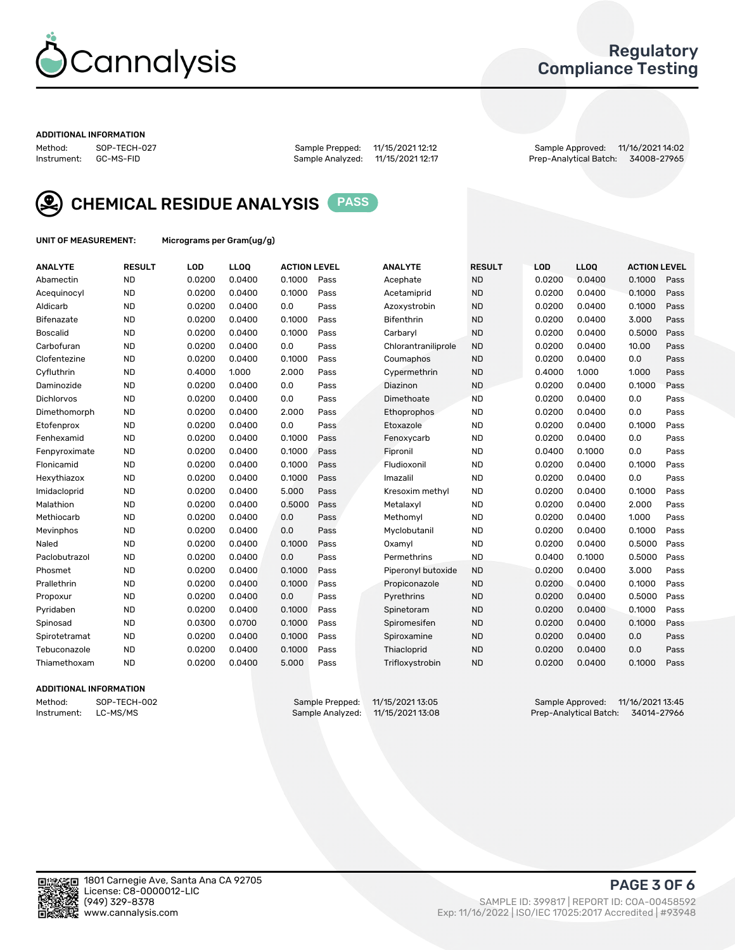

### Regulatory Compliance Testing

#### ADDITIONAL INFORMATION

Method: SOP-TECH-027 Sample Prepped: 11/15/2021 12:12 Sample Approved: 11/16/2021 14:02 Prep-Analytical Batch: 34008-27965



CHEMICAL RESIDUE ANALYSIS PASS

UNIT OF MEASUREMENT: Micrograms per Gram(ug/g)

| <b>ANALYTE</b>    | <b>RESULT</b> | LOD    | LL <sub>OO</sub> | <b>ACTION LEVEL</b> |      | <b>ANALYTE</b>      | <b>RESULT</b> | LOD    | <b>LLOQ</b> | <b>ACTION LEVEL</b> |      |
|-------------------|---------------|--------|------------------|---------------------|------|---------------------|---------------|--------|-------------|---------------------|------|
| Abamectin         | <b>ND</b>     | 0.0200 | 0.0400           | 0.1000              | Pass | Acephate            | <b>ND</b>     | 0.0200 | 0.0400      | 0.1000              | Pass |
| Acequinocyl       | <b>ND</b>     | 0.0200 | 0.0400           | 0.1000              | Pass | Acetamiprid         | <b>ND</b>     | 0.0200 | 0.0400      | 0.1000              | Pass |
| Aldicarb          | <b>ND</b>     | 0.0200 | 0.0400           | 0.0                 | Pass | Azoxystrobin        | <b>ND</b>     | 0.0200 | 0.0400      | 0.1000              | Pass |
| Bifenazate        | <b>ND</b>     | 0.0200 | 0.0400           | 0.1000              | Pass | <b>Bifenthrin</b>   | <b>ND</b>     | 0.0200 | 0.0400      | 3.000               | Pass |
| <b>Boscalid</b>   | <b>ND</b>     | 0.0200 | 0.0400           | 0.1000              | Pass | Carbaryl            | <b>ND</b>     | 0.0200 | 0.0400      | 0.5000              | Pass |
| Carbofuran        | <b>ND</b>     | 0.0200 | 0.0400           | 0.0                 | Pass | Chlorantraniliprole | <b>ND</b>     | 0.0200 | 0.0400      | 10.00               | Pass |
| Clofentezine      | <b>ND</b>     | 0.0200 | 0.0400           | 0.1000              | Pass | Coumaphos           | <b>ND</b>     | 0.0200 | 0.0400      | 0.0                 | Pass |
| Cyfluthrin        | <b>ND</b>     | 0.4000 | 1.000            | 2.000               | Pass | Cypermethrin        | <b>ND</b>     | 0.4000 | 1.000       | 1.000               | Pass |
| Daminozide        | <b>ND</b>     | 0.0200 | 0.0400           | 0.0                 | Pass | Diazinon            | <b>ND</b>     | 0.0200 | 0.0400      | 0.1000              | Pass |
| <b>Dichlorvos</b> | <b>ND</b>     | 0.0200 | 0.0400           | 0.0                 | Pass | Dimethoate          | <b>ND</b>     | 0.0200 | 0.0400      | 0.0                 | Pass |
| Dimethomorph      | <b>ND</b>     | 0.0200 | 0.0400           | 2.000               | Pass | Ethoprophos         | <b>ND</b>     | 0.0200 | 0.0400      | 0.0                 | Pass |
| Etofenprox        | <b>ND</b>     | 0.0200 | 0.0400           | 0.0                 | Pass | Etoxazole           | <b>ND</b>     | 0.0200 | 0.0400      | 0.1000              | Pass |
| Fenhexamid        | <b>ND</b>     | 0.0200 | 0.0400           | 0.1000              | Pass | Fenoxycarb          | <b>ND</b>     | 0.0200 | 0.0400      | 0.0                 | Pass |
| Fenpyroximate     | <b>ND</b>     | 0.0200 | 0.0400           | 0.1000              | Pass | Fipronil            | <b>ND</b>     | 0.0400 | 0.1000      | 0.0                 | Pass |
| Flonicamid        | <b>ND</b>     | 0.0200 | 0.0400           | 0.1000              | Pass | Fludioxonil         | <b>ND</b>     | 0.0200 | 0.0400      | 0.1000              | Pass |
| Hexythiazox       | <b>ND</b>     | 0.0200 | 0.0400           | 0.1000              | Pass | Imazalil            | <b>ND</b>     | 0.0200 | 0.0400      | 0.0                 | Pass |
| Imidacloprid      | <b>ND</b>     | 0.0200 | 0.0400           | 5.000               | Pass | Kresoxim methyl     | <b>ND</b>     | 0.0200 | 0.0400      | 0.1000              | Pass |
| Malathion         | <b>ND</b>     | 0.0200 | 0.0400           | 0.5000              | Pass | Metalaxyl           | <b>ND</b>     | 0.0200 | 0.0400      | 2.000               | Pass |
| Methiocarb        | <b>ND</b>     | 0.0200 | 0.0400           | 0.0                 | Pass | Methomyl            | <b>ND</b>     | 0.0200 | 0.0400      | 1.000               | Pass |
| Mevinphos         | <b>ND</b>     | 0.0200 | 0.0400           | 0.0                 | Pass | Myclobutanil        | <b>ND</b>     | 0.0200 | 0.0400      | 0.1000              | Pass |
| Naled             | <b>ND</b>     | 0.0200 | 0.0400           | 0.1000              | Pass | Oxamyl              | <b>ND</b>     | 0.0200 | 0.0400      | 0.5000              | Pass |
| Paclobutrazol     | <b>ND</b>     | 0.0200 | 0.0400           | 0.0                 | Pass | Permethrins         | <b>ND</b>     | 0.0400 | 0.1000      | 0.5000              | Pass |
| Phosmet           | <b>ND</b>     | 0.0200 | 0.0400           | 0.1000              | Pass | Piperonyl butoxide  | <b>ND</b>     | 0.0200 | 0.0400      | 3.000               | Pass |
| Prallethrin       | <b>ND</b>     | 0.0200 | 0.0400           | 0.1000              | Pass | Propiconazole       | <b>ND</b>     | 0.0200 | 0.0400      | 0.1000              | Pass |
| Propoxur          | <b>ND</b>     | 0.0200 | 0.0400           | 0.0                 | Pass | Pyrethrins          | <b>ND</b>     | 0.0200 | 0.0400      | 0.5000              | Pass |
| Pyridaben         | <b>ND</b>     | 0.0200 | 0.0400           | 0.1000              | Pass | Spinetoram          | <b>ND</b>     | 0.0200 | 0.0400      | 0.1000              | Pass |
| Spinosad          | <b>ND</b>     | 0.0300 | 0.0700           | 0.1000              | Pass | Spiromesifen        | <b>ND</b>     | 0.0200 | 0.0400      | 0.1000              | Pass |
| Spirotetramat     | <b>ND</b>     | 0.0200 | 0.0400           | 0.1000              | Pass | Spiroxamine         | <b>ND</b>     | 0.0200 | 0.0400      | 0.0                 | Pass |
| Tebuconazole      | <b>ND</b>     | 0.0200 | 0.0400           | 0.1000              | Pass | Thiacloprid         | <b>ND</b>     | 0.0200 | 0.0400      | 0.0                 | Pass |
| Thiamethoxam      | <b>ND</b>     | 0.0200 | 0.0400           | 5.000               | Pass | Trifloxystrobin     | <b>ND</b>     | 0.0200 | 0.0400      | 0.1000              | Pass |
|                   |               |        |                  |                     |      |                     |               |        |             |                     |      |

### ADDITIONAL INFORMATION

Method: SOP-TECH-002 Sample Prepped: 11/15/2021 13:05 Sample Approved: 11/16/2021 13:45<br>Instrument: LC-MS/MS Sample Analyzed: 11/15/2021 13:08 Prep-Analytical Batch: 34014-27966 Prep-Analytical Batch: 34014-27966

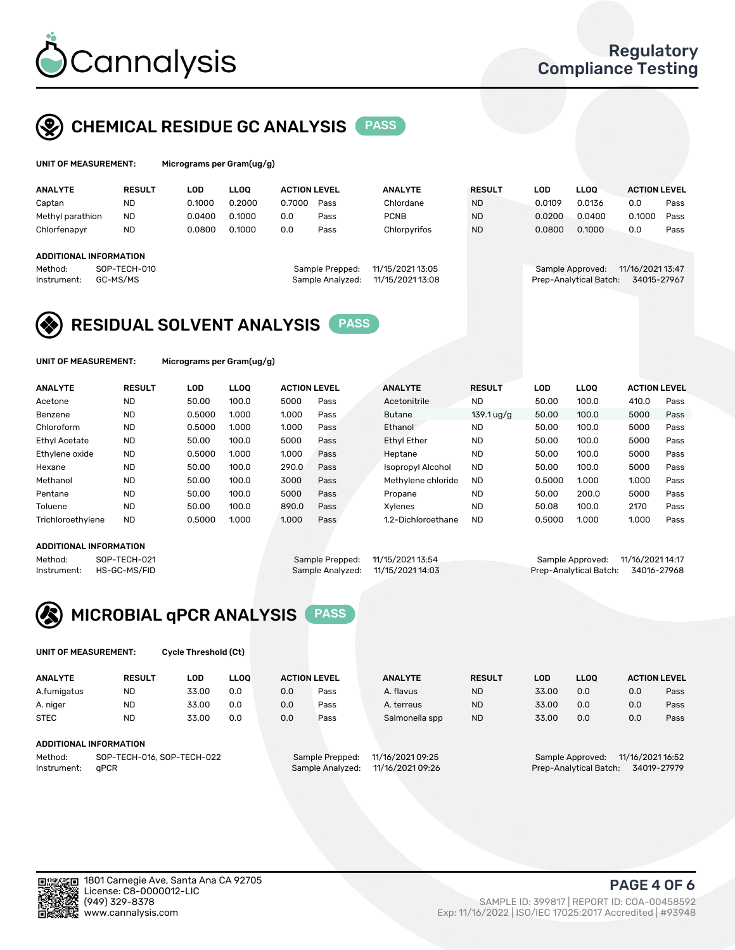

UNIT OF MEASUREMENT: Micrograms per Gram(ug/g)

# CHEMICAL RESIDUE GC ANALYSIS PASS

| <b>LLOO</b><br><b>ANALYTE</b><br>LOD<br><b>LLOO</b><br><b>ACTION LEVEL</b><br><b>ANALYTE</b><br><b>RESULT</b><br>LOD<br><b>ACTION LEVEL</b><br><b>RESULT</b><br>0.2000<br>0.1000<br>0.7000<br>0.0136<br>Chlordane<br><b>ND</b><br>0.0109<br>0.0<br>ND<br>Pass<br>Captan |      |
|-------------------------------------------------------------------------------------------------------------------------------------------------------------------------------------------------------------------------------------------------------------------------|------|
|                                                                                                                                                                                                                                                                         |      |
|                                                                                                                                                                                                                                                                         | Pass |
| 0.1000<br>0.1000<br>0.0400<br><b>ND</b><br>0.0400<br><b>PCNB</b><br>0.0200<br>Methyl parathion<br><b>ND</b><br>0.0<br>Pass                                                                                                                                              | Pass |
| 0.1000<br><b>ND</b><br>0.1000<br>Chlorfenapyr<br>0.0800<br>Chlorpyrifos<br><b>ND</b><br>0.0800<br>0.0<br>0.0<br>Pass                                                                                                                                                    | Pass |
|                                                                                                                                                                                                                                                                         |      |
| <b>ADDITIONAL INFORMATION</b>                                                                                                                                                                                                                                           |      |
| 11/15/2021 13:05<br>11/16/2021 13:47<br>SOP-TECH-010<br>Sample Prepped:<br>Method:<br>Sample Approved:                                                                                                                                                                  |      |
| 11/15/2021 13:08<br>Prep-Analytical Batch:<br>GC-MS/MS<br>34015-27967<br>Sample Analyzed:<br>Instrument:                                                                                                                                                                |      |

### RESIDUAL SOLVENT ANALYSIS PASS

UNIT OF MEASUREMENT: Micrograms per Gram(ug/g)

| <b>ANALYTE</b>       | <b>RESULT</b> | <b>LOD</b> | <b>LLOO</b> | <b>ACTION LEVEL</b> |      | <b>ANALYTE</b>           | <b>RESULT</b> | LOD    | <b>LLOO</b> | <b>ACTION LEVEL</b> |      |
|----------------------|---------------|------------|-------------|---------------------|------|--------------------------|---------------|--------|-------------|---------------------|------|
| Acetone              | <b>ND</b>     | 50.00      | 100.0       | 5000                | Pass | Acetonitrile             | <b>ND</b>     | 50.00  | 100.0       | 410.0               | Pass |
| Benzene              | <b>ND</b>     | 0.5000     | 1.000       | 1.000               | Pass | <b>Butane</b>            | $139.1$ ug/g  | 50.00  | 100.0       | 5000                | Pass |
| Chloroform           | <b>ND</b>     | 0.5000     | 1.000       | 1.000               | Pass | Ethanol                  | <b>ND</b>     | 50.00  | 100.0       | 5000                | Pass |
| <b>Ethyl Acetate</b> | <b>ND</b>     | 50.00      | 100.0       | 5000                | Pass | <b>Ethyl Ether</b>       | <b>ND</b>     | 50.00  | 100.0       | 5000                | Pass |
| Ethylene oxide       | <b>ND</b>     | 0.5000     | 1.000       | 1.000               | Pass | Heptane                  | <b>ND</b>     | 50.00  | 100.0       | 5000                | Pass |
| Hexane               | <b>ND</b>     | 50.00      | 100.0       | 290.0               | Pass | <b>Isopropyl Alcohol</b> | <b>ND</b>     | 50.00  | 100.0       | 5000                | Pass |
| Methanol             | <b>ND</b>     | 50.00      | 100.0       | 3000                | Pass | Methylene chloride       | <b>ND</b>     | 0.5000 | 1.000       | 1.000               | Pass |
| Pentane              | <b>ND</b>     | 50.00      | 100.0       | 5000                | Pass | Propane                  | <b>ND</b>     | 50.00  | 200.0       | 5000                | Pass |
| Toluene              | <b>ND</b>     | 50.00      | 100.0       | 890.0               | Pass | Xvlenes                  | <b>ND</b>     | 50.08  | 100.0       | 2170                | Pass |
| Trichloroethylene    | <b>ND</b>     | 0.5000     | 1.000       | 1.000               | Pass | 1.2-Dichloroethane       | <b>ND</b>     | 0.5000 | 1.000       | 1.000               | Pass |

#### ADDITIONAL INFORMATION

| ADDITIONAL INFORMATION |              |                                  |                                   |                                    |  |
|------------------------|--------------|----------------------------------|-----------------------------------|------------------------------------|--|
| Method:                | SOP-TECH-021 | Sample Prepped: 11/15/2021 13:54 |                                   | Sample Approved: 11/16/2021 14:17  |  |
| Instrument:            | HS-GC-MS/FID |                                  | Sample Analyzed: 11/15/2021 14:03 | Prep-Analytical Batch: 34016-27968 |  |



UNIT OF MEASUREMENT: Cycle Threshold (Ct)

| <b>ANALYTE</b>                        | <b>RESULT</b>          | LOD   | <b>LLOO</b>      |                  | <b>ACTION LEVEL</b> | <b>ANALYTE</b> | <b>RESULT</b>          | <b>LOD</b>                           | <b>LLOO</b> |     | <b>ACTION LEVEL</b> |
|---------------------------------------|------------------------|-------|------------------|------------------|---------------------|----------------|------------------------|--------------------------------------|-------------|-----|---------------------|
| A.fumigatus                           | <b>ND</b>              | 33.00 | 0.0              | 0.0              | Pass                | A. flavus      | <b>ND</b>              | 33.00                                | 0.0         | 0.0 | Pass                |
| A. niger                              | <b>ND</b>              | 33.00 | 0.0              | 0.0              | Pass                | A. terreus     | <b>ND</b>              | 33.00                                | 0.0         | 0.0 | Pass                |
| <b>STEC</b>                           | <b>ND</b>              | 33.00 | 0.0              | 0.0              | Pass                | Salmonella spp | <b>ND</b>              | 33.00                                | 0.0         | 0.0 | Pass                |
|                                       | ADDITIONAL INFORMATION |       |                  |                  |                     |                |                        |                                      |             |     |                     |
| SOP-TECH-016, SOP-TECH-022<br>Method: |                        |       |                  | Sample Prepped:  | 11/16/2021 09:25    |                |                        | 11/16/2021 16:52<br>Sample Approved: |             |     |                     |
| aPCR<br>Instrument:                   |                        |       | Sample Analyzed: | 11/16/2021 09:26 |                     |                | Prep-Analytical Batch: |                                      | 34019-27979 |     |                     |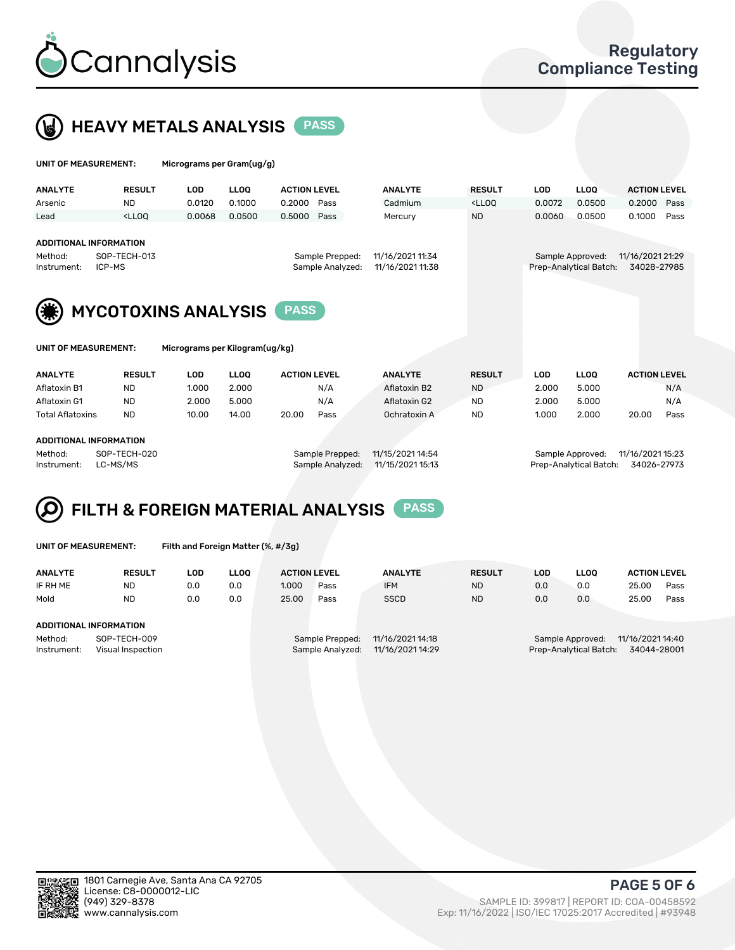

### **HEAVY METALS ANALYSIS** PASS

| UNIT OF MEASUREMENT: |                                                                                                                                                                     | Micrograms per Gram(ug/g) |        |                     |                |                                                                             |        |             |                     |
|----------------------|---------------------------------------------------------------------------------------------------------------------------------------------------------------------|---------------------------|--------|---------------------|----------------|-----------------------------------------------------------------------------|--------|-------------|---------------------|
| <b>ANALYTE</b>       | <b>RESULT</b>                                                                                                                                                       | LOD                       | LLOO   | <b>ACTION LEVEL</b> | <b>ANALYTE</b> | <b>RESULT</b>                                                               | LOD    | <b>LLOO</b> | <b>ACTION LEVEL</b> |
| Arsenic              | <b>ND</b>                                                                                                                                                           | 0.0120                    | 0.1000 | 0.2000<br>Pass      | Cadmium        | <lloq< td=""><td>0.0072</td><td>0.0500</td><td>0.2000<br/>Pass</td></lloq<> | 0.0072 | 0.0500      | 0.2000<br>Pass      |
| Lead                 | <lloo< td=""><td>0.0068</td><td>0.0500</td><td>0.5000<br/>Pass</td><td>Mercury</td><td><b>ND</b></td><td>0.0060</td><td>0.0500</td><td>0.1000<br/>Pass</td></lloo<> | 0.0068                    | 0.0500 | 0.5000<br>Pass      | Mercury        | <b>ND</b>                                                                   | 0.0060 | 0.0500      | 0.1000<br>Pass      |

#### ADDITIONAL INFORMATION

Method: SOP-TECH-013 Sample Prepped: 11/16/2021 11:34 Sample Approved: 11/16/2021 21:29 Instrument: ICP-MS Sample Analyzed: 11/16/2021 11:38 Prep-Analytical Batch: 34028-27985



Micrograms per Kilogram(ug/kg)

| ANALYTE          |               |       |             | <b>ACTION LEVEL</b> |      | <b>ANALYTE</b> |               |       |             |       | <b>ACTION LEVEL</b> |
|------------------|---------------|-------|-------------|---------------------|------|----------------|---------------|-------|-------------|-------|---------------------|
|                  | <b>RESULT</b> | LOD   | <b>LLOO</b> |                     |      |                | <b>RESULT</b> | LOD   | <b>LLOO</b> |       |                     |
| Aflatoxin B1     | <b>ND</b>     | 1.000 | 2.000       |                     | N/A  | Aflatoxin B2   | <b>ND</b>     | 2.000 | 5.000       |       | N/A                 |
| Aflatoxin G1     | <b>ND</b>     | 2.000 | 5.000       |                     | N/A  | Aflatoxin G2   | <b>ND</b>     | 2.000 | 5.000       |       | N/A                 |
| Total Aflatoxins | <b>ND</b>     | 10.00 | 14.00       | 20.00               | Pass | Ochratoxin A   | <b>ND</b>     | 1.000 | 2.000       | 20.00 | Pass                |
|                  |               |       |             |                     |      |                |               |       |             |       |                     |

#### ADDITIONAL INFORMATION

Method: SOP-TECH-020 Sample Prepped: 11/15/2021 14:54 Sample Approved: 11/16/2021 15:23 Instrument: LC-MS/MS Sample Analyzed: 11/15/2021 15:13 Prep-Analytical Batch: 34026-27973

# FILTH & FOREIGN MATERIAL ANALYSIS PASS

UNIT OF MEASUREMENT: Filth and Foreign Matter (%, #/3g)

| <b>ANALYTE</b>         | <b>RESULT</b>                     | LOD | <b>LLOO</b> | <b>ACTION LEVEL</b>                                                         |      | <b>ANALYTE</b> | <b>RESULT</b> | LOD                                                                           | <b>LLOO</b> | <b>ACTION LEVEL</b> |      |  |
|------------------------|-----------------------------------|-----|-------------|-----------------------------------------------------------------------------|------|----------------|---------------|-------------------------------------------------------------------------------|-------------|---------------------|------|--|
| IF RH ME               | ND                                | 0.0 | 0.0         | 1.000                                                                       | Pass | <b>IFM</b>     | <b>ND</b>     | 0.0                                                                           | 0.0         | 25.00               | Pass |  |
| Mold                   | <b>ND</b>                         | 0.0 | 0.0         | 25.00                                                                       | Pass | <b>SSCD</b>    | <b>ND</b>     | 0.0                                                                           | 0.0         | 25.00               | Pass |  |
| ADDITIONAL INFORMATION |                                   |     |             |                                                                             |      |                |               |                                                                               |             |                     |      |  |
| Method:<br>Instrument: | SOP-TECH-009<br>Visual Inspection |     |             | 11/16/2021 14:18<br>Sample Prepped:<br>11/16/2021 14:29<br>Sample Analyzed: |      |                |               | 11/16/2021 14:40<br>Sample Approved:<br>Prep-Analytical Batch:<br>34044-28001 |             |                     |      |  |